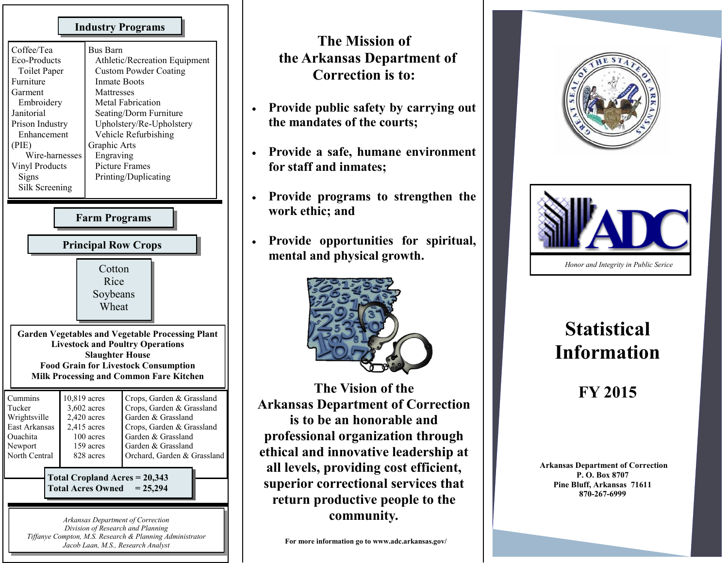| <b>Industry Programs</b>                                                                                                                                                                                                      |  |                                                                                                                                                                                                                                                                                                               |                                                                                                                                                                                      |  |  |  |  |
|-------------------------------------------------------------------------------------------------------------------------------------------------------------------------------------------------------------------------------|--|---------------------------------------------------------------------------------------------------------------------------------------------------------------------------------------------------------------------------------------------------------------------------------------------------------------|--------------------------------------------------------------------------------------------------------------------------------------------------------------------------------------|--|--|--|--|
| Coffee/Tea<br>Eco-Products<br><b>Toilet Paper</b><br>Furniture<br>Garment<br>Embroidery<br>Janitorial<br>Prison Industry<br>Enhancement<br>(PIE)<br>Wire-harnesses<br>Vinyl Products<br>Signs<br>Silk Screening               |  | <b>Bus Barn</b><br>Athletic/Recreation Equipment<br><b>Custom Powder Coating</b><br><b>Inmate Boots</b><br>Mattresses<br><b>Metal Fabrication</b><br>Seating/Dorm Furniture<br>Upholstery/Re-Upholstery<br>Vehicle Refurbishing<br>Graphic Arts<br>Engraving<br><b>Picture Frames</b><br>Printing/Duplicating |                                                                                                                                                                                      |  |  |  |  |
| <b>Farm Programs</b>                                                                                                                                                                                                          |  |                                                                                                                                                                                                                                                                                                               |                                                                                                                                                                                      |  |  |  |  |
| <b>Principal Row Crops</b>                                                                                                                                                                                                    |  |                                                                                                                                                                                                                                                                                                               |                                                                                                                                                                                      |  |  |  |  |
|                                                                                                                                                                                                                               |  | Cotton<br>Rice<br>Soybeans<br>Wheat                                                                                                                                                                                                                                                                           |                                                                                                                                                                                      |  |  |  |  |
| <b>Garden Vegetables and Vegetable Processing Plant</b><br><b>Livestock and Poultry Operations</b><br><b>Slaughter House</b><br><b>Food Grain for Livestock Consumption</b><br><b>Milk Processing and Common Fare Kitchen</b> |  |                                                                                                                                                                                                                                                                                                               |                                                                                                                                                                                      |  |  |  |  |
| Cummins<br>10,819 acres<br>Tucker<br>Wrightsville<br>East Arkansas<br>Ouachita<br>Newport<br>North Central                                                                                                                    |  | 3,602 acres<br>$2,420$ acres<br>2,415 acres<br>100 acres<br>159 acres<br>828 acres                                                                                                                                                                                                                            | Crops, Garden & Grassland<br>Crops, Garden & Grassland<br>Garden & Grassland<br>Crops, Garden & Grassland<br>Garden & Grassland<br>Garden & Grassland<br>Orchard, Garden & Grassland |  |  |  |  |
| Total Cropland Acres = 20,343<br><b>Total Acres Owned</b><br>$= 25,294$                                                                                                                                                       |  |                                                                                                                                                                                                                                                                                                               |                                                                                                                                                                                      |  |  |  |  |
| Arkansas Department of Correction<br>Division of Research and Planning<br>Tiffanye Compton, M.S. Research & Planning Administrator<br>Jacob Laan, M.S., Research Analyst                                                      |  |                                                                                                                                                                                                                                                                                                               |                                                                                                                                                                                      |  |  |  |  |

## **The Mission of the Arkansas Department of Correction is to:**

- **Provide public safety by carrying out the mandates of the courts;**
- **Provide a safe, humane environment for staff and inmates;**
- **Provide programs to strengthen the work ethic; and**
- **Provide opportunities for spiritual, mental and physical growth.**



**The Vision of the Arkansas Department of Correction is to be an honorable and professional organization through ethical and innovative leadership at all levels, providing cost efficient, superior correctional services that return productive people to the community***.* 





## **Statistical Information**

## **FY 2015**

**Arkansas Department of Correction P. O. Box 8707 Pine Bluff, Arkansas 71611 870-267-6999**